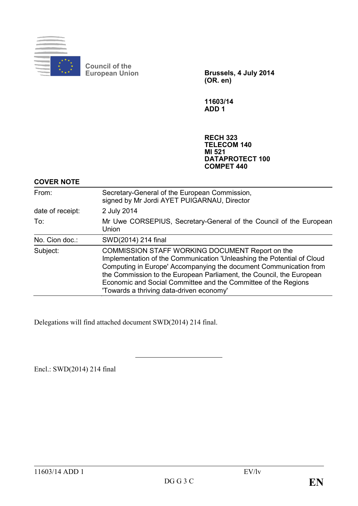

**Council of the**

**European Union Brussels, 4 July 2014 (OR. en)**

**11603/14 ADD 1**

**RECH 323 TELECOM 140 MI 521 DATAPROTECT 100 COMPET 440**

## **COVER NOTE**

| From:            | Secretary-General of the European Commission,<br>signed by Mr Jordi AYET PUIGARNAU, Director                                                                                                                                                                                                                                                                                         |
|------------------|--------------------------------------------------------------------------------------------------------------------------------------------------------------------------------------------------------------------------------------------------------------------------------------------------------------------------------------------------------------------------------------|
| date of receipt: | 2 July 2014                                                                                                                                                                                                                                                                                                                                                                          |
| To:              | Mr Uwe CORSEPIUS, Secretary-General of the Council of the European<br>Union                                                                                                                                                                                                                                                                                                          |
| No. Cion doc.:   | SWD(2014) 214 final                                                                                                                                                                                                                                                                                                                                                                  |
| Subject:         | COMMISSION STAFF WORKING DOCUMENT Report on the<br>Implementation of the Communication 'Unleashing the Potential of Cloud<br>Computing in Europe' Accompanying the document Communication from<br>the Commission to the European Parliament, the Council, the European<br>Economic and Social Committee and the Committee of the Regions<br>'Towards a thriving data-driven economy' |

Delegations will find attached document SWD(2014) 214 final.

Encl.: SWD(2014) 214 final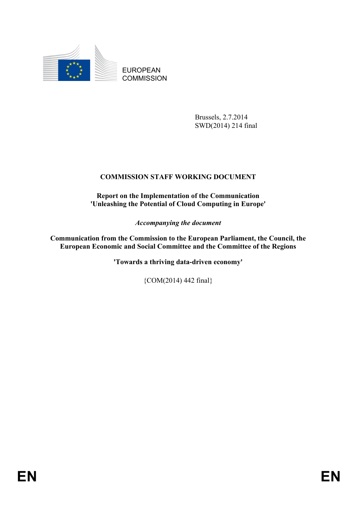

EUROPEAN **COMMISSION** 

> Brussels, 2.7.2014 SWD(2014) 214 final

# **COMMISSION STAFF WORKING DOCUMENT**

**Report on the Implementation of the Communication 'Unleashing the Potential of Cloud Computing in Europe'**

*Accompanying the document*

**Communication from the Commission to the European Parliament, the Council, the European Economic and Social Committee and the Committee of the Regions**

**'Towards a thriving data-driven economy'**

{COM(2014) 442 final}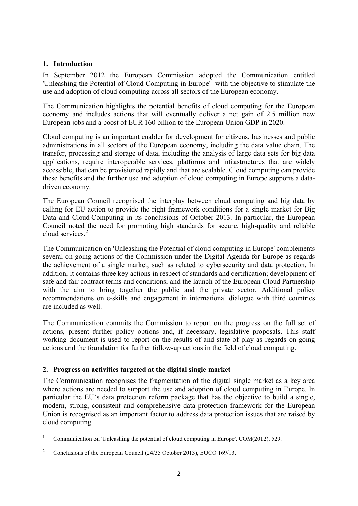#### **1. Introduction**

In September 2012 the European Commission adopted the Communication entitled 'Unleashing the Potential of Cloud Computing in Europe<sup>[1](#page-2-0)</sup> with the objective to stimulate the use and adoption of cloud computing across all sectors of the European economy.

The Communication highlights the potential benefits of cloud computing for the European economy and includes actions that will eventually deliver a net gain of 2.5 million new European jobs and a boost of EUR 160 billion to the European Union GDP in 2020.

Cloud computing is an important enabler for development for citizens, businesses and public administrations in all sectors of the European economy, including the data value chain. The transfer, processing and storage of data, including the analysis of large data sets for big data applications, require interoperable services, platforms and infrastructures that are widely accessible, that can be provisioned rapidly and that are scalable. Cloud computing can provide these benefits and the further use and adoption of cloud computing in Europe supports a datadriven economy.

The European Council recognised the interplay between cloud computing and big data by calling for EU action to provide the right framework conditions for a single market for Big Data and Cloud Computing in its conclusions of October 2013. In particular, the European Council noted the need for promoting high standards for secure, high-quality and reliable cloud services.<sup>[2](#page-2-1)</sup>

The Communication on 'Unleashing the Potential of cloud computing in Europe' complements several on-going actions of the Commission under the Digital Agenda for Europe as regards the achievement of a single market, such as related to cybersecurity and data protection. In addition, it contains three key actions in respect of standards and certification; development of safe and fair contract terms and conditions; and the launch of the European Cloud Partnership with the aim to bring together the public and the private sector. Additional policy recommendations on e-skills and engagement in international dialogue with third countries are included as well.

The Communication commits the Commission to report on the progress on the full set of actions, present further policy options and, if necessary, legislative proposals. This staff working document is used to report on the results of and state of play as regards on-going actions and the foundation for further follow-up actions in the field of cloud computing.

#### **2. Progress on activities targeted at the digital single market**

The Communication recognises the fragmentation of the digital single market as a key area where actions are needed to support the use and adoption of cloud computing in Europe. In particular the EU's data protection reform package that has the objective to build a single, modern, strong, consistent and comprehensive data protection framework for the European Union is recognised as an important factor to address data protection issues that are raised by cloud computing.

<span id="page-2-0"></span><sup>1</sup> Communication on 'Unleashing the potential of cloud computing in Europe'. COM(2012), 529. **.** 

<span id="page-2-1"></span><sup>&</sup>lt;sup>2</sup> Conclusions of the European Council (24/35 October 2013), EUCO 169/13.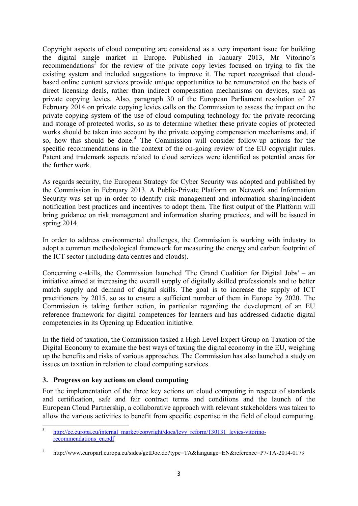Copyright aspects of cloud computing are considered as a very important issue for building the digital single market in Europe. Published in January 2013, Mr Vitorino's recommendations<sup>[3](#page-3-0)</sup> for the review of the private copy levies focused on trying to fix the existing system and included suggestions to improve it. The report recognised that cloudbased online content services provide unique opportunities to be remunerated on the basis of direct licensing deals, rather than indirect compensation mechanisms on devices, such as private copying levies. Also, paragraph 30 of the European Parliament resolution of 27 February 2014 on private copying levies calls on the Commission to assess the impact on the private copying system of the use of cloud computing technology for the private recording and storage of protected works, so as to determine whether these private copies of protected works should be taken into account by the private copying compensation mechanisms and, if so, how this should be done.<sup>[4](#page-3-1)</sup> The Commission will consider follow-up actions for the specific recommendations in the context of the on-going review of the EU copyright rules. Patent and trademark aspects related to cloud services were identified as potential areas for the further work.

As regards security, the European Strategy for Cyber Security was adopted and published by the Commission in February 2013. A Public-Private Platform on Network and Information Security was set up in order to identify risk management and information sharing/incident notification best practices and incentives to adopt them. The first output of the Platform will bring guidance on risk management and information sharing practices, and will be issued in spring 2014.

In order to address environmental challenges, the Commission is working with industry to adopt a common methodological framework for measuring the energy and carbon footprint of the ICT sector (including data centres and clouds).

Concerning e-skills, the Commission launched 'The Grand Coalition for Digital Jobs' – an initiative aimed at increasing the overall supply of digitally skilled professionals and to better match supply and demand of digital skills. The goal is to increase the supply of ICT practitioners by 2015, so as to ensure a sufficient number of them in Europe by 2020. The Commission is taking further action, in particular regarding the development of an EU reference framework for digital competences for learners and has addressed didactic digital competencies in its Opening up Education initiative.

In the field of taxation, the Commission tasked a High Level Expert Group on Taxation of the Digital Economy to examine the best ways of taxing the digital economy in the EU, weighing up the benefits and risks of various approaches. The Commission has also launched a study on issues on taxation in relation to cloud computing services.

#### **3. Progress on key actions on cloud computing**

For the implementation of the three key actions on cloud computing in respect of standards and certification, safe and fair contract terms and conditions and the launch of the European Cloud Partnership, a collaborative approach with relevant stakeholders was taken to allow the various activities to benefit from specific expertise in the field of cloud computing.

<span id="page-3-0"></span>[http://ec.europa.eu/internal\\_market/copyright/docs/levy\\_reform/130131\\_levies-vitorino](http://ec.europa.eu/internal_market/copyright/docs/levy_reform/130131_levies-vitorino-recommendations_en.pdf)[recommendations\\_en.pdf](http://ec.europa.eu/internal_market/copyright/docs/levy_reform/130131_levies-vitorino-recommendations_en.pdf)  $\overline{a}$ 

<span id="page-3-1"></span><sup>4</sup> http://www.europarl.europa.eu/sides/getDoc.do?type=TA&language=EN&reference=P7-TA-2014-0179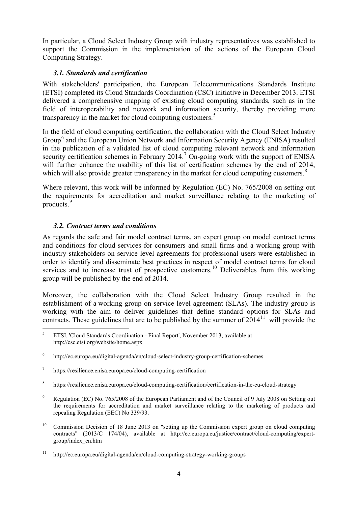In particular, a Cloud Select Industry Group with industry representatives was established to support the Commission in the implementation of the actions of the European Cloud Computing Strategy.

#### *3.1. Standards and certification*

With stakeholders' participation, the European Telecommunications Standards Institute (ETSI) completed its Cloud Standards Coordination (CSC) initiative in December 2013. ETSI delivered a comprehensive mapping of existing cloud computing standards, such as in the field of interoperability and network and information security, thereby providing more transparency in the market for cloud computing customers.<sup>[5](#page-4-0)</sup>

In the field of cloud computing certification, the collaboration with the Cloud Select Industry Group<sup>[6](#page-4-1)</sup> and the European Union Network and Information Security Agency (ENISA) resulted in the publication of a validated list of cloud computing relevant network and information security certification schemes in February 2014.<sup>[7](#page-4-2)</sup> On-going work with the support of ENISA will further enhance the usability of this list of certification schemes by the end of 2014, which will also provide greater transparency in the market for cloud computing customers. $8$ 

Where relevant, this work will be informed by Regulation (EC) No. 765/2008 on setting out the requirements for accreditation and market surveillance relating to the marketing of products.[9](#page-4-4)

### *3.2. Contract terms and conditions*

As regards the safe and fair model contract terms, an expert group on model contract terms and conditions for cloud services for consumers and small firms and a working group with industry stakeholders on service level agreements for professional users were established in order to identify and disseminate best practices in respect of model contract terms for cloud services and to increase trust of prospective customers.<sup>[10](#page-4-5)</sup> Deliverables from this working group will be published by the end of 2014.

Moreover, the collaboration with the Cloud Select Industry Group resulted in the establishment of a working group on service level agreement (SLAs). The industry group is working with the aim to deliver guidelines that define standard options for SLAs and contracts. These guidelines that are to be published by the summer of  $2014<sup>11</sup>$  $2014<sup>11</sup>$  $2014<sup>11</sup>$  will provide the

- <span id="page-4-2"></span><sup>7</sup> https://resilience.enisa.europa.eu/cloud-computing-certification
- <span id="page-4-3"></span><sup>8</sup> https://resilience.enisa.europa.eu/cloud-computing-certification/certification-in-the-eu-cloud-strategy
- <span id="page-4-4"></span><sup>9</sup> Regulation (EC) No. 765/2008 of the European Parliament and of the Council of 9 July 2008 on Setting out the requirements for accreditation and market surveillance relating to the marketing of products and repealing Regulation (EEC) No 339/93.
- <span id="page-4-5"></span><sup>10</sup> Commission Decision of 18 June 2013 on "setting up the Commission expert group on cloud computing contracts" (2013/C 174/04), available at http://ec.europa.eu/justice/contract/cloud-computing/expertgroup/index\_en.htm

<span id="page-4-0"></span><sup>5</sup> ETSI, 'Cloud Standards Coordination - Final Report', November 2013, available at http://csc.etsi.org/website/home.aspx  $\overline{5}$ 

<span id="page-4-1"></span><sup>6</sup> http://ec.europa.eu/digital-agenda/en/cloud-select-industry-group-certification-schemes

<span id="page-4-6"></span><sup>&</sup>lt;sup>11</sup> http://ec.europa.eu/digital-agenda/en/cloud-computing-strategy-working-groups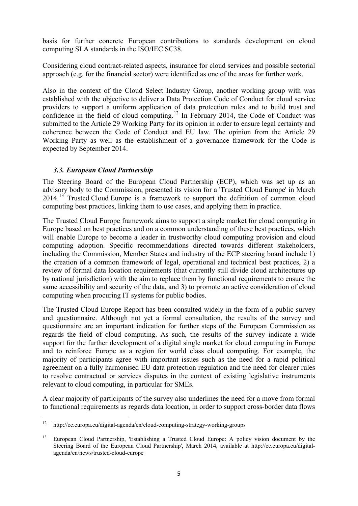basis for further concrete European contributions to standards development on cloud computing SLA standards in the ISO/IEC SC38.

Considering cloud contract-related aspects, insurance for cloud services and possible sectorial approach (e.g. for the financial sector) were identified as one of the areas for further work.

Also in the context of the Cloud Select Industry Group, another working group with was established with the objective to deliver a Data Protection Code of Conduct for cloud service providers to support a uniform application of data protection rules and to build trust and confidence in the field of cloud computing.<sup>[12](#page-5-0)</sup> In February 2014, the Code of Conduct was submitted to the Article 29 Working Party for its opinion in order to ensure legal certainty and coherence between the Code of Conduct and EU law. The opinion from the Article 29 Working Party as well as the establishment of a governance framework for the Code is expected by September 2014.

#### *3.3. European Cloud Partnership*

The Steering Board of the European Cloud Partnership (ECP), which was set up as an advisory body to the Commission, presented its vision for a 'Trusted Cloud Europe' in March 2014.<sup>[13](#page-5-1)</sup> Trusted Cloud Europe is a framework to support the definition of common cloud computing best practices, linking them to use cases, and applying them in practice.

The Trusted Cloud Europe framework aims to support a single market for cloud computing in Europe based on best practices and on a common understanding of these best practices, which will enable Europe to become a leader in trustworthy cloud computing provision and cloud computing adoption. Specific recommendations directed towards different stakeholders, including the Commission, Member States and industry of the ECP steering board include 1) the creation of a common framework of legal, operational and technical best practices, 2) a review of formal data location requirements (that currently still divide cloud architectures up by national jurisdiction) with the aim to replace them by functional requirements to ensure the same accessibility and security of the data, and 3) to promote an active consideration of cloud computing when procuring IT systems for public bodies.

The Trusted Cloud Europe Report has been consulted widely in the form of a public survey and questionnaire. Although not yet a formal consultation, the results of the survey and questionnaire are an important indication for further steps of the European Commission as regards the field of cloud computing. As such, the results of the survey indicate a wide support for the further development of a digital single market for cloud computing in Europe and to reinforce Europe as a region for world class cloud computing. For example, the majority of participants agree with important issues such as the need for a rapid political agreement on a fully harmonised EU data protection regulation and the need for clearer rules to resolve contractual or services disputes in the context of existing legislative instruments relevant to cloud computing, in particular for SMEs.

A clear majority of participants of the survey also underlines the need for a move from formal to functional requirements as regards data location, in order to support cross-border data flows

<span id="page-5-0"></span>http://ec.europa.eu/digital-agenda/en/cloud-computing-strategy-working-groups  $12$ 

<span id="page-5-1"></span><sup>&</sup>lt;sup>13</sup> European Cloud Partnership, 'Establishing a Trusted Cloud Europe: A policy vision document by the Steering Board of the European Cloud Partnership', March 2014, available at http://ec.europa.eu/digitalagenda/en/news/trusted-cloud-europe